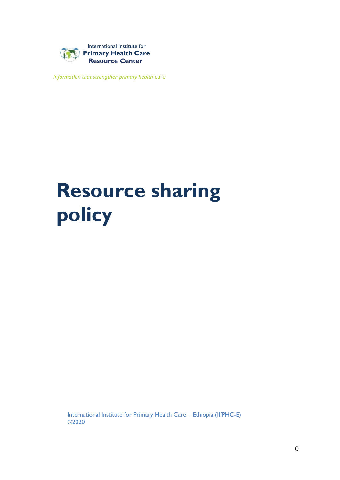

*Information that strengthen primary health* care

# **Resource sharing policy**

International Institute for Primary Health Care – Ethiopia (IIfPHC-E) ©2020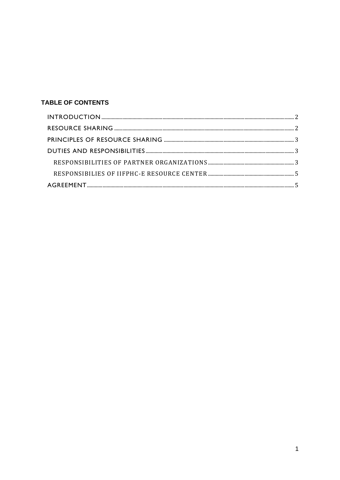# **TABLE OF CONTENTS**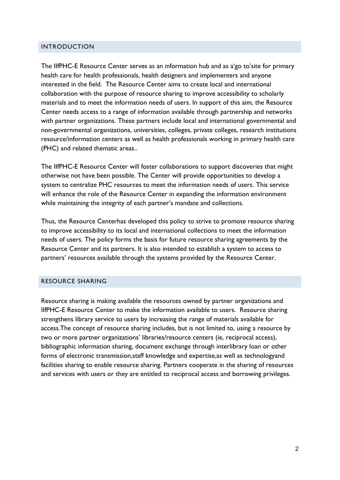#### <span id="page-2-0"></span>INTRODUCTION

The IIfPHC-E Resource Center serves as an information hub and as a'go to'site for primary health care for health professionals, health designers and implementers and anyone interested in the field. The Resource Center aims to create local and international collaboration with the purpose of resource sharing to improve accessibility to scholarly materials and to meet the information needs of users. In support of this aim, the Resource Center needs access to a range of information available through partnership and networks with partner organizations. These partners include local and international governmental and non-governmental organizations, universities, colleges, private colleges, research institutions resource/information centers as well as health professionals working in primary health care (PHC) and related thematic areas..

The IIfPHC-E Resource Center will foster collaborations to support discoveries that might otherwise not have been possible. The Center will provide opportunities to develop a system to centralize PHC resources to meet the information needs of users. This service will enhance the role of the Resource Center in expanding the information environment while maintaining the integrity of each partner's mandate and collections.

Thus, the Resource Centerhas developed this policy to strive to promote resource sharing to improve accessibility to its local and international collections to meet the information needs of users. The policy forms the basis for future resource sharing agreements by the Resource Center and its partners. It is also intended to establish a system to access to partners' resources available through the systems provided by the Resource Center.

#### <span id="page-2-1"></span>RESOURCE SHARING

Resource sharing is making available the resources owned by partner organizations and IIfPHC-E Resource Center to make the information available to users. Resource sharing strengthens library service to users by increasing the range of materials available for access.The concept of resource sharing includes, but is not limited to, using a resource by two or more partner organizations' libraries/resource centers (ie, reciprocal access), bibliographic information sharing, document exchange through interlibrary loan or other forms of electronic transmission,staff knowledge and expertise,as well as technologyand facilities sharing to enable resource sharing. Partners cooperate in the sharing of resources and services with users or they are entitled to reciprocal access and borrowing privileges.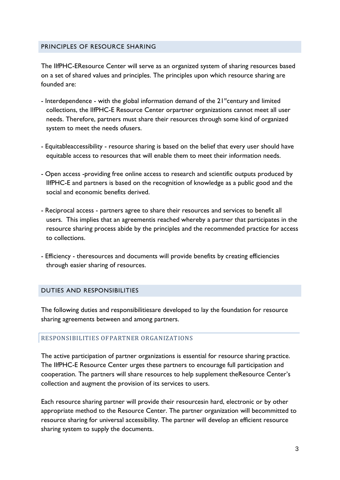#### <span id="page-3-0"></span>PRINCIPLES OF RESOURCE SHARING

The IIfPHC-EResource Center will serve as an organized system of sharing resources based on a set of shared values and principles. The principles upon which resource sharing are founded are:

- Interdependence with the global information demand of the  $21<sup>st</sup>$  century and limited collections, the IIfPHC-E Resource Center orpartner organizations cannot meet all user needs. Therefore, partners must share their resources through some kind of organized system to meet the needs ofusers.
- Equitableaccessibility resource sharing is based on the belief that every user should have equitable access to resources that will enable them to meet their information needs.
- Open access -providing free online access to research and scientific outputs produced by IIfPHC-E and partners is based on the recognition of knowledge as a public good and the social and economic benefits derived.
- Reciprocal access partners agree to share their resources and services to benefit all users. This implies that an agreementis reached whereby a partner that participates in the resource sharing process abide by the principles and the recommended practice for access to collections.
- Efficiency theresources and documents will provide benefits by creating efficiencies through easier sharing of resources.

#### <span id="page-3-1"></span>DUTIES AND RESPONSIBILITIES

The following duties and responsibilitiesare developed to lay the foundation for resource sharing agreements between and among partners.

#### <span id="page-3-2"></span>RESPONSIBILITIES OFPARTNER ORGANIZATIONS

The active participation of partner organizations is essential for resource sharing practice. The IIfPHC-E Resource Center urges these partners to encourage full participation and cooperation. The partners will share resources to help supplement theResource Center's collection and augment the provision of its services to users.

Each resource sharing partner will provide their resourcesin hard, electronic or by other appropriate method to the Resource Center. The partner organization will becommitted to resource sharing for universal accessibility. The partner will develop an efficient resource sharing system to supply the documents.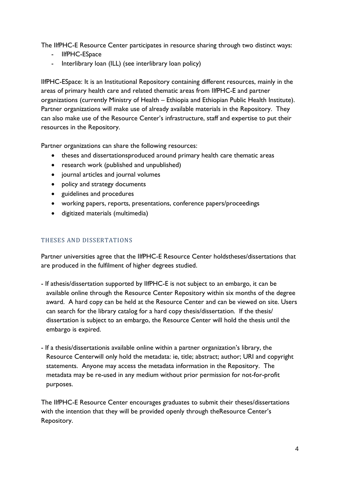The IIfPHC-E Resource Center participates in resource sharing through two distinct ways:

- IIfPHC-ESpace
- Interlibrary loan (ILL) (see interlibrary loan policy)

IIfPHC-ESpace: It is an Institutional Repository containing different resources, mainly in the areas of primary health care and related thematic areas from IIfPHC-E and partner organizations (currently Ministry of Health – Ethiopia and Ethiopian Public Health Institute). Partner organizations will make use of already available materials in the Repository. They can also make use of the Resource Center's infrastructure, staff and expertise to put their resources in the Repository.

Partner organizations can share the following resources:

- theses and dissertationsproduced around primary health care thematic areas
- research work (published and unpublished)
- journal articles and journal volumes
- policy and strategy documents
- guidelines and procedures
- working papers, reports, presentations, conference papers/proceedings
- digitized materials (multimedia)

## THESES AND DISSERTATIONS

Partner universities agree that the IIfPHC-E Resource Center holdstheses/dissertations that are produced in the fulfilment of higher degrees studied.

- If athesis/dissertation supported by IIfPHC-E is not subject to an embargo, it can be available online through the Resource Center Repository within six months of the degree award. A hard copy can be held at the Resource Center and can be viewed on site. Users can search for the library catalog for a hard copy thesis/dissertation. If the thesis/ dissertation is subject to an embargo, the Resource Center will hold the thesis until the embargo is expired.
- If a thesis/dissertationis available online within a partner organization's library, the Resource Centerwill only hold the metadata: ie, title; abstract; author; URI and copyright statements. Anyone may access the metadata information in the Repository. The metadata may be re-used in any medium without prior permission for not-for-profit purposes.

The IIfPHC-E Resource Center encourages graduates to submit their theses/dissertations with the intention that they will be provided openly through theResource Center's Repository.